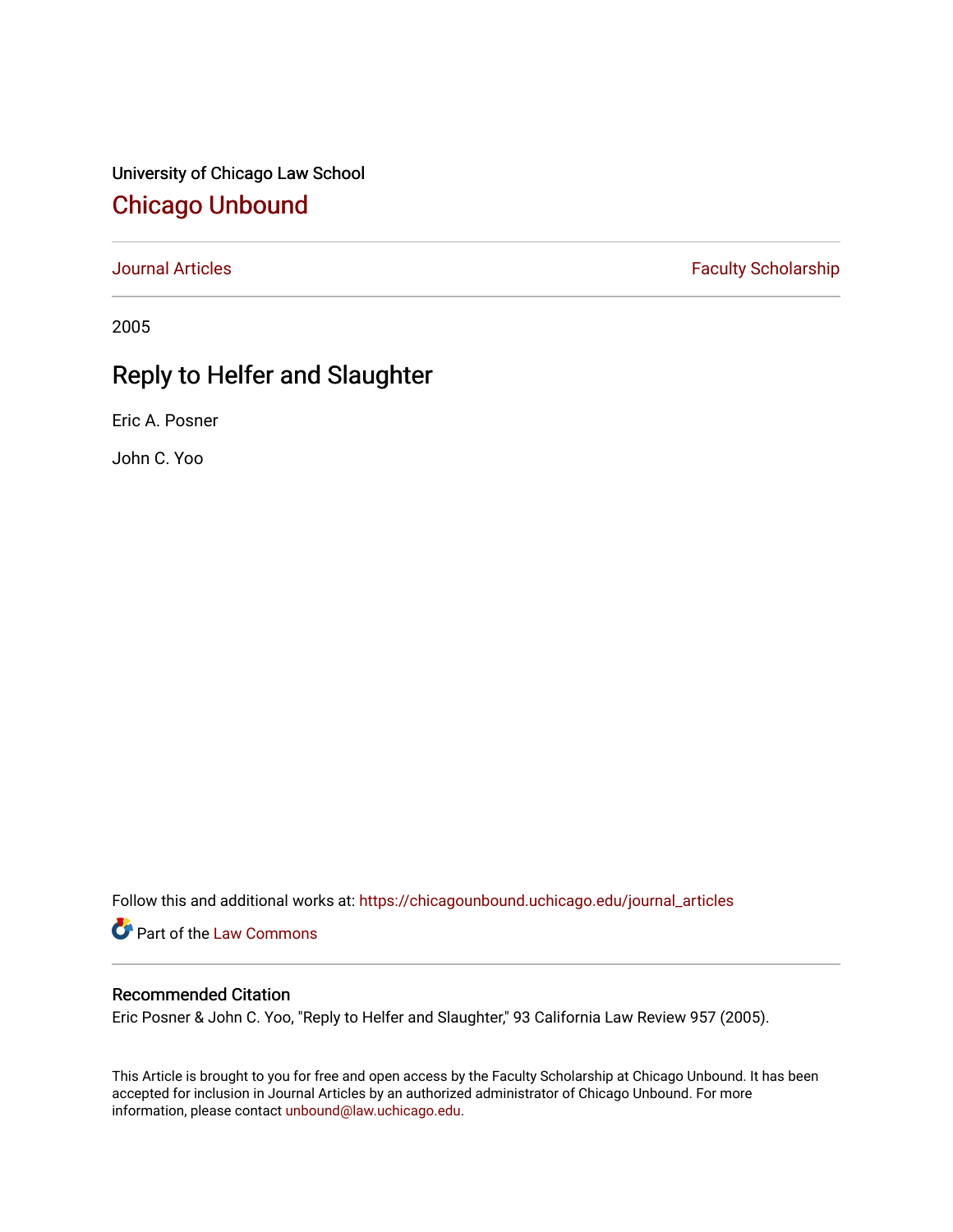University of Chicago Law School [Chicago Unbound](https://chicagounbound.uchicago.edu/)

[Journal Articles](https://chicagounbound.uchicago.edu/journal_articles) **Faculty Scholarship Faculty Scholarship** 

2005

# Reply to Helfer and Slaughter

Eric A. Posner

John C. Yoo

Follow this and additional works at: [https://chicagounbound.uchicago.edu/journal\\_articles](https://chicagounbound.uchicago.edu/journal_articles?utm_source=chicagounbound.uchicago.edu%2Fjournal_articles%2F1752&utm_medium=PDF&utm_campaign=PDFCoverPages) 

Part of the [Law Commons](http://network.bepress.com/hgg/discipline/578?utm_source=chicagounbound.uchicago.edu%2Fjournal_articles%2F1752&utm_medium=PDF&utm_campaign=PDFCoverPages)

## Recommended Citation

Eric Posner & John C. Yoo, "Reply to Helfer and Slaughter," 93 California Law Review 957 (2005).

This Article is brought to you for free and open access by the Faculty Scholarship at Chicago Unbound. It has been accepted for inclusion in Journal Articles by an authorized administrator of Chicago Unbound. For more information, please contact [unbound@law.uchicago.edu](mailto:unbound@law.uchicago.edu).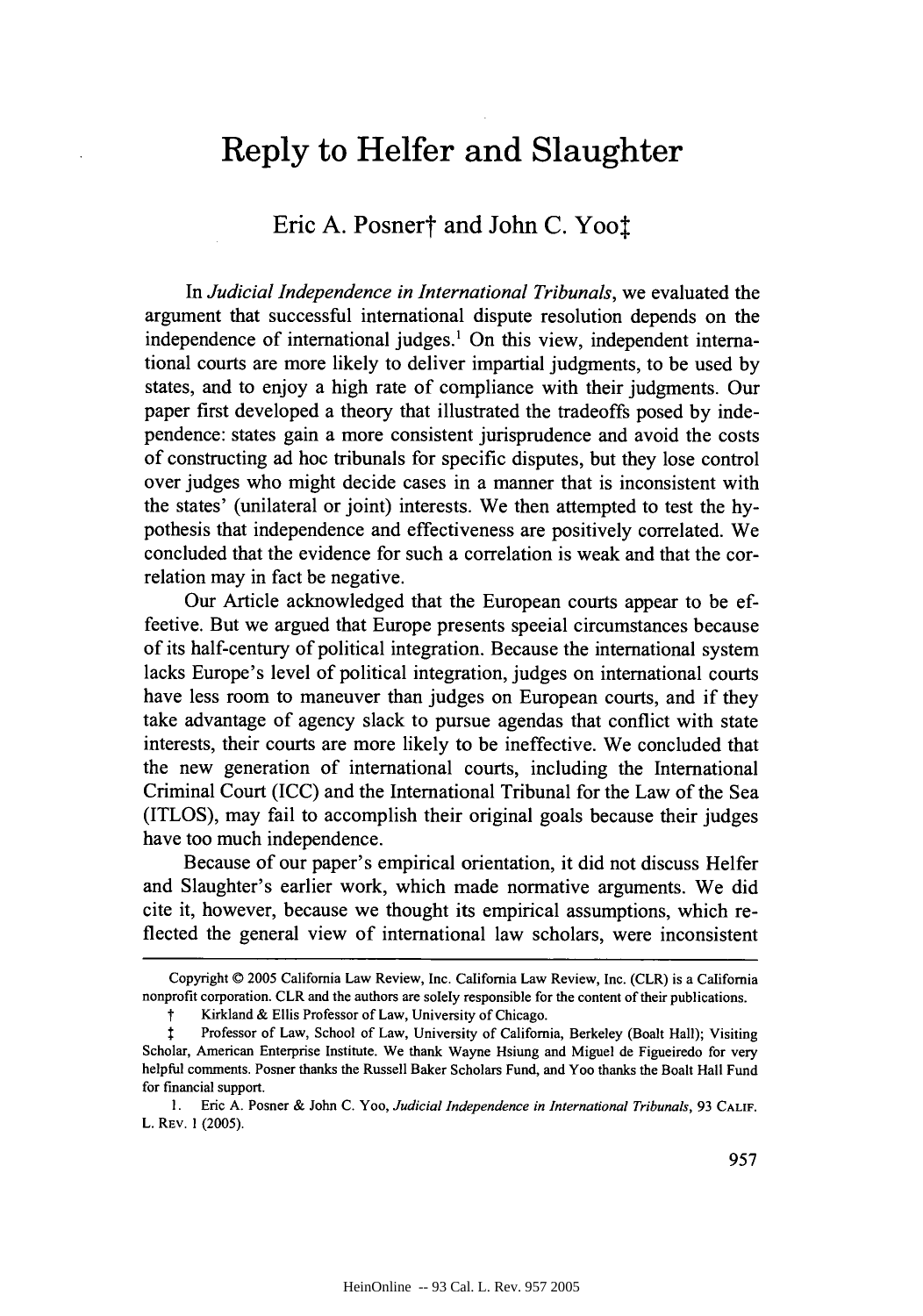# **Reply to Helfer and Slaughter**

# Eric A. Posnert and John C. Yoot

In *Judicial Independence in International Tribunals,* we evaluated the argument that successful international dispute resolution depends on the independence of international judges.<sup>1</sup> On this view, independent international courts are more likely to deliver impartial judgments, to be used by states, and to enjoy a high rate of compliance with their judgments. Our paper first developed a theory that illustrated the tradeoffs posed by independence: states gain a more consistent jurisprudence and avoid the costs of constructing ad hoc tribunals for specific disputes, but they lose control over judges who might decide cases in a manner that is inconsistent with the states' (unilateral or joint) interests. We then attempted to test the hypothesis that independence and effectiveness are positively correlated. We concluded that the evidence for such a correlation is weak and that the correlation may in fact be negative.

Our Article acknowledged that the European courts appear to be effective. But we argued that Europe presents special circumstances because of its half-century of political integration. Because the international system lacks Europe's level of political integration, judges on international courts have less room to maneuver than judges on European courts, and if they take advantage of agency slack to pursue agendas that conflict with state interests, their courts are more likely to be ineffective. We concluded that the new generation of international courts, including the International Criminal Court (ICC) and the International Tribunal for the Law of the Sea (ITLOS), may fail to accomplish their original goals because their judges have too much independence.

Because of our paper's empirical orientation, it did not discuss Helfer and Slaughter's earlier work, which made normative arguments. We did cite it, however, because we thought its empirical assumptions, which reflected the general view of international law scholars, were inconsistent

Copyright © 2005 California Law Review, Inc. California Law Review, Inc. (CLR) is a California nonprofit corporation. CLR and the authors are solely responsible for the content of their publications.

t Kirkland & Ellis Professor of Law, University of Chicago.

Professor of Law, School of Law, University of California, Berkeley (Boalt Hall); Visiting t Scholar, American Enterprise Institute. We thank Wayne Hsiung and Miguel de Figueiredo for very helpful comments. Posner thanks the Russell Baker Scholars Fund, and Yoo thanks the Boalt Hall Fund for financial support.

**I.** Eric A. Posner & John C. Yoo, *Judicial Independence in International Tribunals,* 93 **CALIF.** L. REV. 1 (2005).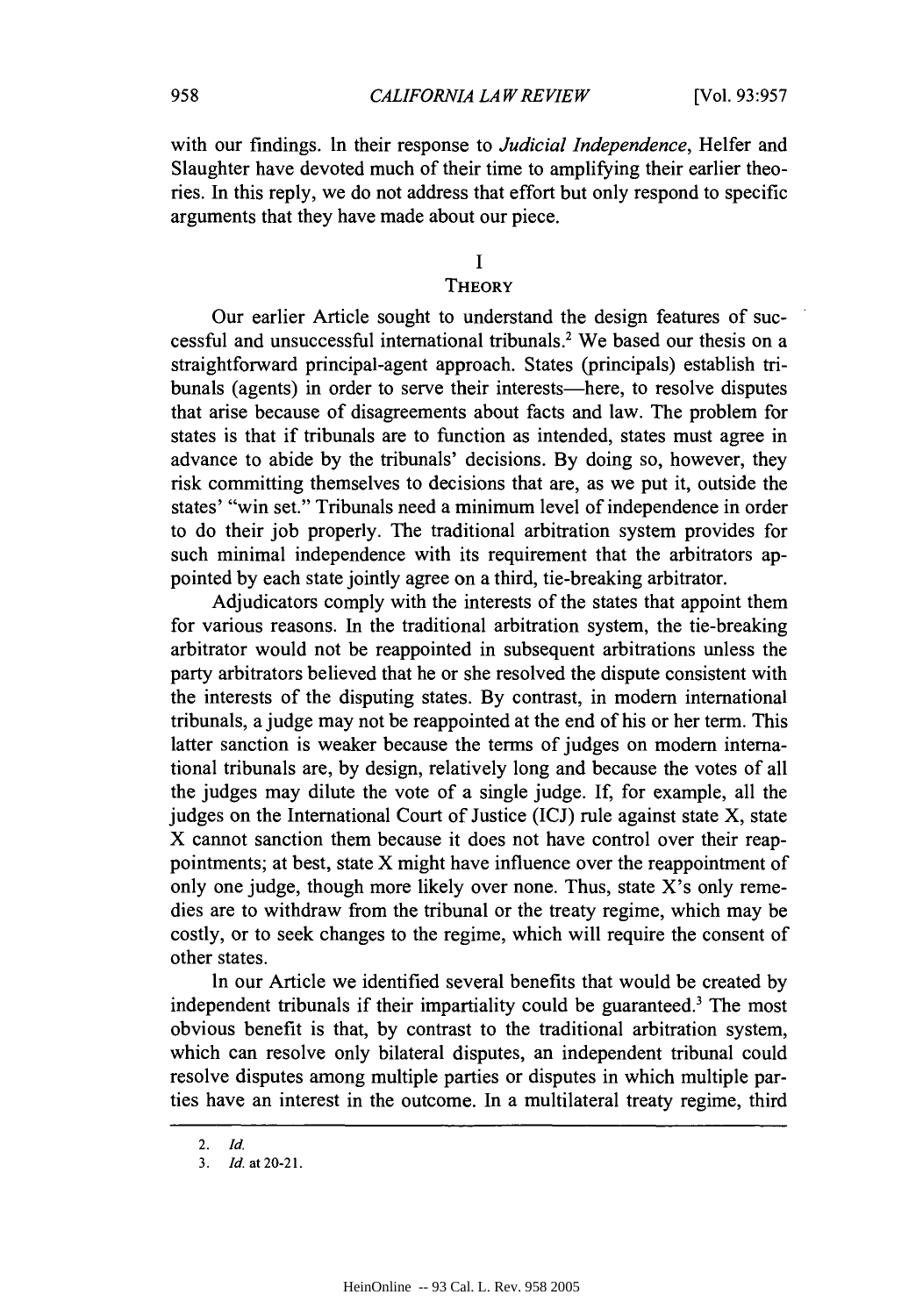with our findings. In their response to *Judicial Independence,* Heifer and Slaughter have devoted much of their time to amplifying their earlier theories. In this reply, we do not address that effort but only respond to specific arguments that they have made about our piece.

#### **I**

### **THEORY**

Our earlier Article sought to understand the design features of successful and unsuccessful international tribunals.2 We based our thesis on a straightforward principal-agent approach. States (principals) establish tribunals (agents) in order to serve their interests—here, to resolve disputes that arise because of disagreements about facts and law. The problem for states is that if tribunals are to function as intended, states must agree in advance to abide by the tribunals' decisions. By doing so, however, they risk committing themselves to decisions that are, as we put it, outside the states' "win set." Tribunals need a minimum level of independence in order to do their job properly. The traditional arbitration system provides for such minimal independence with its requirement that the arbitrators appointed by each state jointly agree on a third, tie-breaking arbitrator.

Adjudicators comply with the interests of the states that appoint them for various reasons. In the traditional arbitration system, the tie-breaking arbitrator would not be reappointed in subsequent arbitrations unless the party arbitrators believed that he or she resolved the dispute consistent with the interests of the disputing states. By contrast, in modern international tribunals, a judge may not be reappointed at the end of his or her term. This latter sanction is weaker because the terms of judges on modem international tribunals are, by design, relatively long and because the votes of all the judges may dilute the vote of a single judge. If, for example, all the judges on the International Court of Justice (ICJ) rule against state X, state X cannot sanction them because it does not have control over their reappointments; at best, state X might have influence over the reappointment of only one judge, though more likely over none. Thus, state X's only remedies are to withdraw from the tribunal or the treaty regime, which may be costly, or to seek changes to the regime, which will require the consent of other states.

In our Article we identified several benefits that would be created by independent tribunals if their impartiality could be guaranteed.3 The most obvious benefit is that, by contrast to the traditional arbitration system, which can resolve only bilateral disputes, an independent tribunal could resolve disputes among multiple parties or disputes in which multiple parties have an interest in the outcome. In a multilateral treaty regime, third

<sup>2.</sup> *Id.*

<sup>3.</sup> *Id.* at 20-21.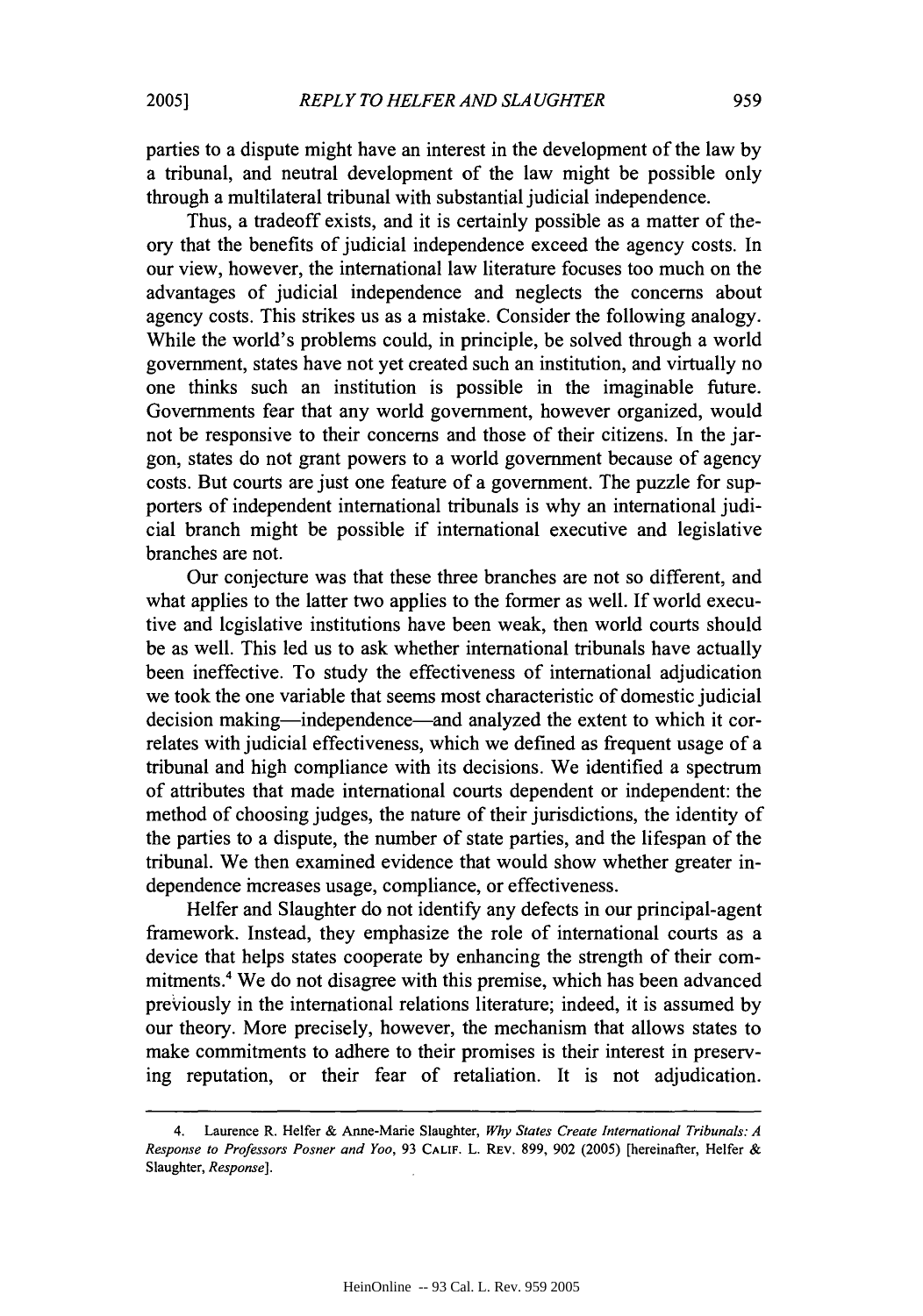parties to a dispute might have an interest in the development of the law by a tribunal, and neutral development of the law might be possible only through a multilateral tribunal with substantial judicial independence.

Thus, a tradeoff exists, and it is certainly possible as a matter of theory that the benefits of judicial independence exceed the agency costs. In our view, however, the international law literature focuses too much on the advantages of judicial independence and neglects the concerns about agency costs. This strikes us as a mistake. Consider the following analogy. While the world's problems could, in principle, be solved through a world government, states have not yet created such an institution, and virtually no one thinks such an institution is possible in the imaginable future. Governments fear that any world government, however organized, would not be responsive to their concerns and those of their citizens. In the jargon, states do not grant powers to a world government because of agency costs. But courts are just one feature of a government. The puzzle for supporters of independent international tribunals is why an international judicial branch might be possible if international executive and legislative branches are not.

Our conjecture was that these three branches are not so different, and what applies to the latter two applies to the former as well. If world executive and legislative institutions have been weak, then world courts should be as well. This led us to ask whether international tribunals have actually been ineffective. To study the effectiveness of international adjudication we took the one variable that seems most characteristic of domestic judicial decision making—independence—and analyzed the extent to which it correlates with judicial effectiveness, which we defined as frequent usage of a tribunal and high compliance with its decisions. We identified a spectrum of attributes that made international courts dependent or independent: the method of choosing judges, the nature of their jurisdictions, the identity of the parties to a dispute, the number of state parties, and the lifespan of the tribunal. We then examined evidence that would show whether greater independence increases usage, compliance, or effectiveness.

Helfer and Slaughter do not identify any defects in our principal-agent framework. Instead, they emphasize the role of international courts as a device that helps states cooperate by enhancing the strength of their commitments.4 We do not disagree with this premise, which has been advanced previously in the international relations literature; indeed, it is assumed by our theory. More precisely, however, the mechanism that allows states to make commitments to adhere to their promises is their interest in preserving reputation, or their fear of retaliation. It is not adjudication.

<sup>4.</sup> Laurence R. Heifer & Anne-Marie Slaughter, *Why States Create International Tribunals: A Response to Professors Posner and Yoo,* 93 **CALIF.** L. REv. 899, 902 (2005) [hereinafter, Heifer & Slaughter, *Response].*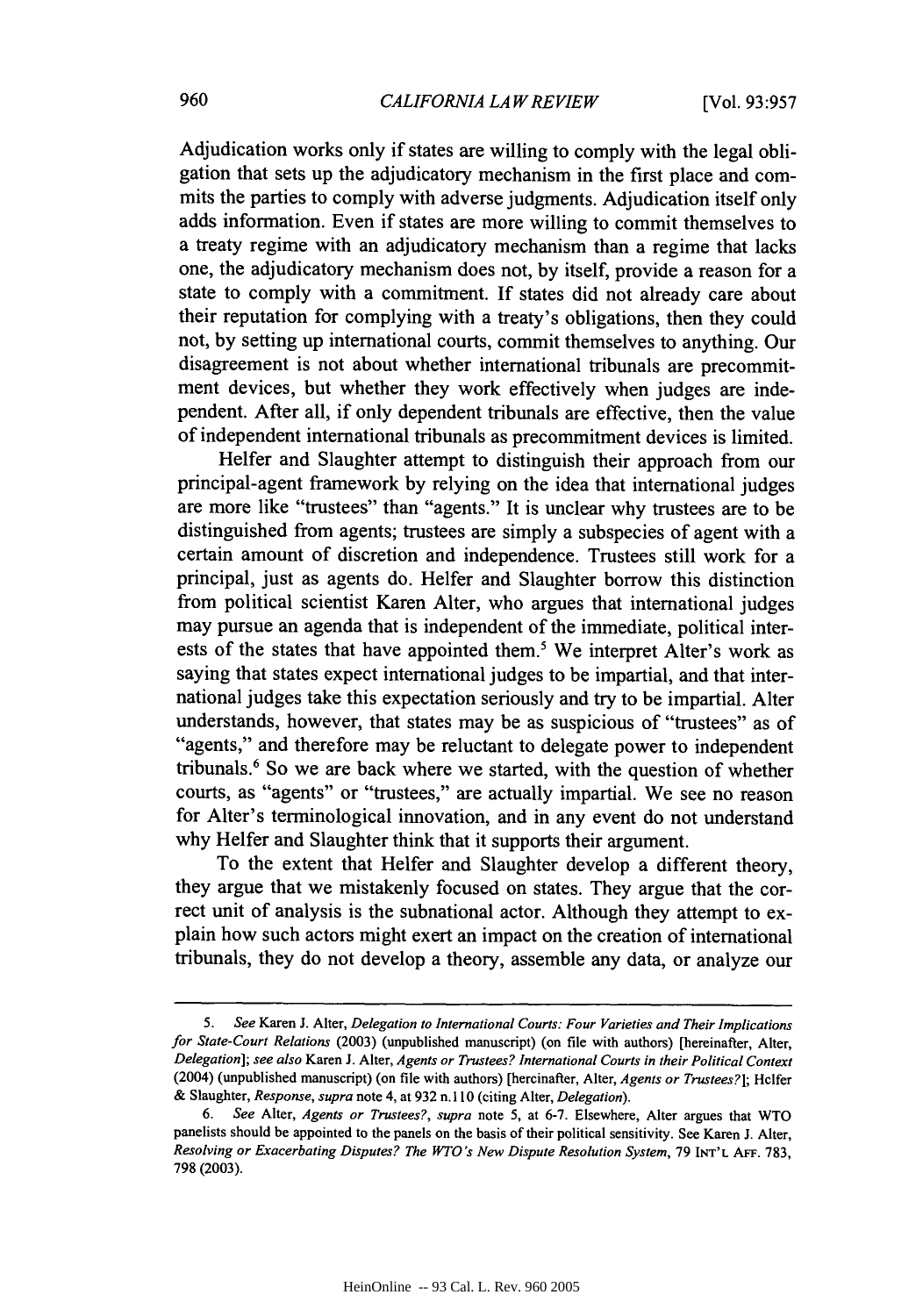Adjudication works only if states are willing to comply with the legal obligation that sets up the adjudicatory mechanism in the first place and commits the parties to comply with adverse judgments. Adjudication itself only adds information. Even if states are more willing to commit themselves to a treaty regime with an adjudicatory mechanism than a regime that lacks one, the adjudicatory mechanism does not, by itself, provide a reason for a state to comply with a commitment. If states did not already care about their reputation for complying with a treaty's obligations, then they could not, by setting up international courts, commit themselves to anything. Our disagreement is not about whether international tribunals are precommitment devices, but whether they work effectively when judges are independent. After all, if only dependent tribunals are effective, then the value of independent international tribunals as precommitment devices is limited.

Helfer and Slaughter attempt to distinguish their approach from our principal-agent framework by relying on the idea that international judges are more like "trustees" than "agents." It is unclear why trustees are to be distinguished from agents; trustees are simply a subspecies of agent with a certain amount of discretion and independence. Trustees still work for a principal, just as agents do. Helfer and Slaughter borrow this distinction from political scientist Karen Alter, who argues that international judges may pursue an agenda that is independent of the immediate, political interests of the states that have appointed them.' We interpret Alter's work as saying that states expect international judges to be impartial, and that international judges take this expectation seriously and try to be impartial. Alter understands, however, that states may be as suspicious of "trustees" as of "agents," and therefore may be reluctant to delegate power to independent tribunals.<sup>6</sup> So we are back where we started, with the question of whether courts, as "agents" or "trustees," are actually impartial. We see no reason for Alter's terminological innovation, and in any event do not understand why Helfer and Slaughter think that it supports their argument.

To the extent that Helfer and Slaughter develop a different theory, they argue that we mistakenly focused on states. They argue that the correct unit of analysis is the subnational actor. Although they attempt to explain how such actors might exert an impact on the creation of international tribunals, they do not develop a theory, assemble any data, or analyze our

<sup>5.</sup> *See* Karen J. Alter, *Delegation to International Courts: Four Varieties and Their Implications for State-Court Relations* (2003) (unpublished manuscript) (on file with authors) [hereinafter, Alter, *Delegation]; see also* Karen J. Alter, *Agents or Trustees? International Courts in their Political Context* (2004) (unpublished manuscript) (on file with authors) [hereinafter, Alter, *Agents or Trustees?];* Heifer & Slaughter, *Response, supra* note 4, at 932 n. 110 (citing Alter, *Delegation).*

*<sup>6.</sup> See* Alter, *Agents or Trustees?, supra* note 5, at 6-7. Elsewhere, Alter argues that WTO panelists should be appointed to the panels on the basis of their political sensitivity. See Karen J. Alter, *Resolving or Exacerbating Disputes? The WTO's New Dispute Resolution System,* 79 **INT'L AFF.** 783, 798 (2003).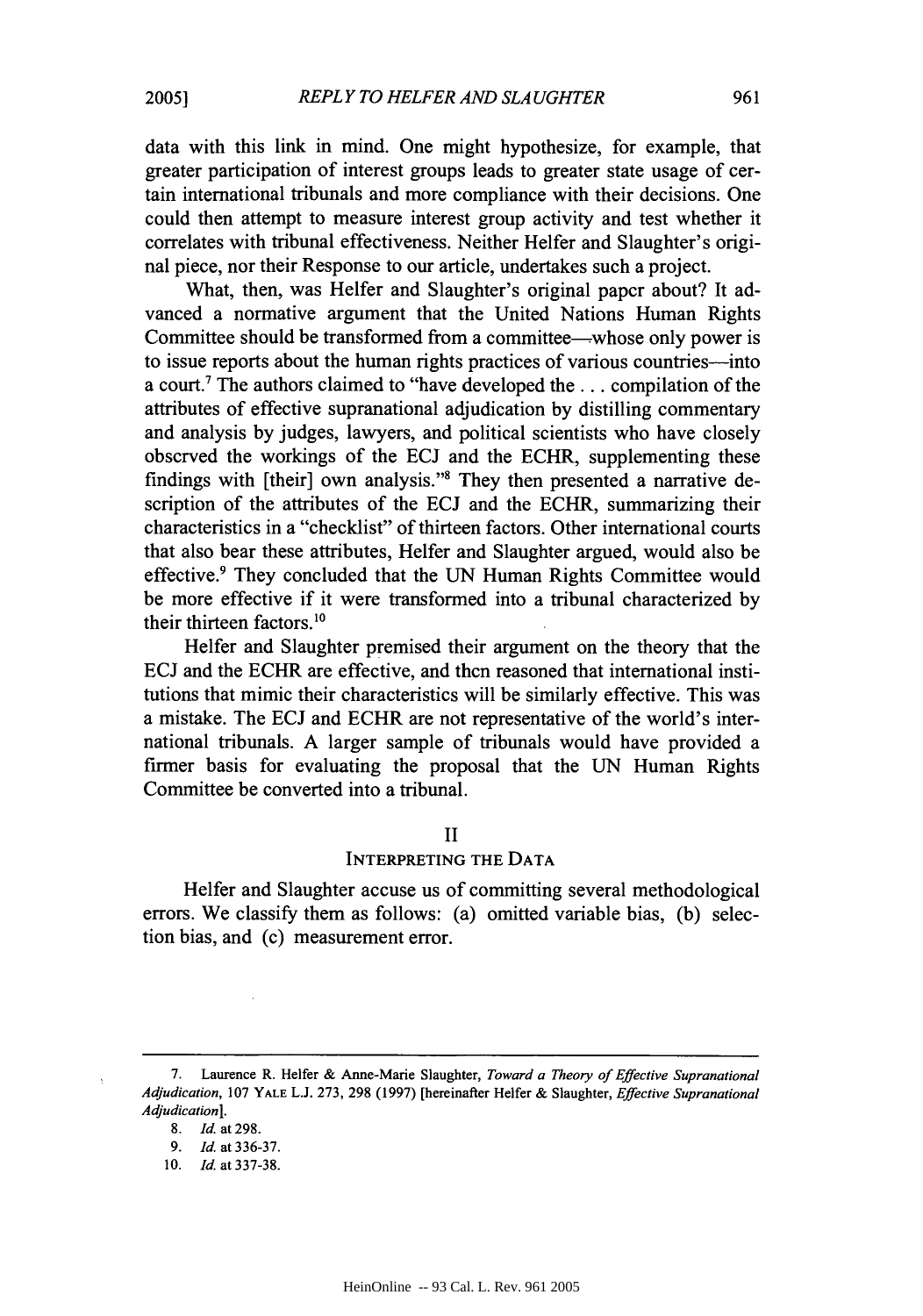data with this link in mind. One might hypothesize, for example, that greater participation of interest groups leads to greater state usage of certain international tribunals and more compliance with their decisions. One could then attempt to measure interest group activity and test whether it correlates with tribunal effectiveness. Neither Heifer and Slaughter's original piece, nor their Response to our article, undertakes such a project.

What, then, was Helfer and Slaughter's original paper about? It advanced a normative argument that the United Nations Human Rights Committee should be transformed from a committee—whose only power is to issue reports about the human rights practices of various countries-into a court.7 The authors claimed to "have developed the **...** compilation of the attributes of effective supranational adjudication by distilling commentary and analysis by judges, lawyers, and political scientists who have closely observed the workings of the ECJ and the ECHR, supplementing these findings with [their] own analysis."8 They then presented a narrative description of the attributes of the ECJ and the ECHR, summarizing their characteristics in a "checklist" of thirteen factors. Other international courts that also bear these attributes, Helfer and Slaughter argued, would also be effective.<sup>9</sup> They concluded that the UN Human Rights Committee would be more effective if it were transformed into a tribunal characterized by their thirteen factors.10

Helfer and Slaughter premised their argument on the theory that the ECJ and the ECHR are effective, and then reasoned that international institutions that mimic their characteristics will be similarly effective. This was a mistake. The ECJ and ECHR are not representative of the world's international tribunals. A larger sample of tribunals would have provided a firmer basis for evaluating the proposal that the UN Human Rights Committee be converted into a tribunal.

#### II

#### INTERPRETING THE DATA

Helfer and Slaughter accuse us of committing several methodological errors. We classify them as follows: (a) omitted variable bias, (b) selection bias, and (c) measurement error.

<sup>7.</sup> Laurence R. Heifer & Anne-Marie Slaughter, *Toward a Theory of Effective Supranational Adjudication,* 107 YALE **L.J.** 273, 298 (1997) [hereinafter Heifer & Slaughter, *Effective Supranational Adjudication].*

**<sup>8.</sup> Id.** at 298.

*<sup>9.</sup> Id.* at 336-37.

<sup>10.</sup> *Id.* at 337-38.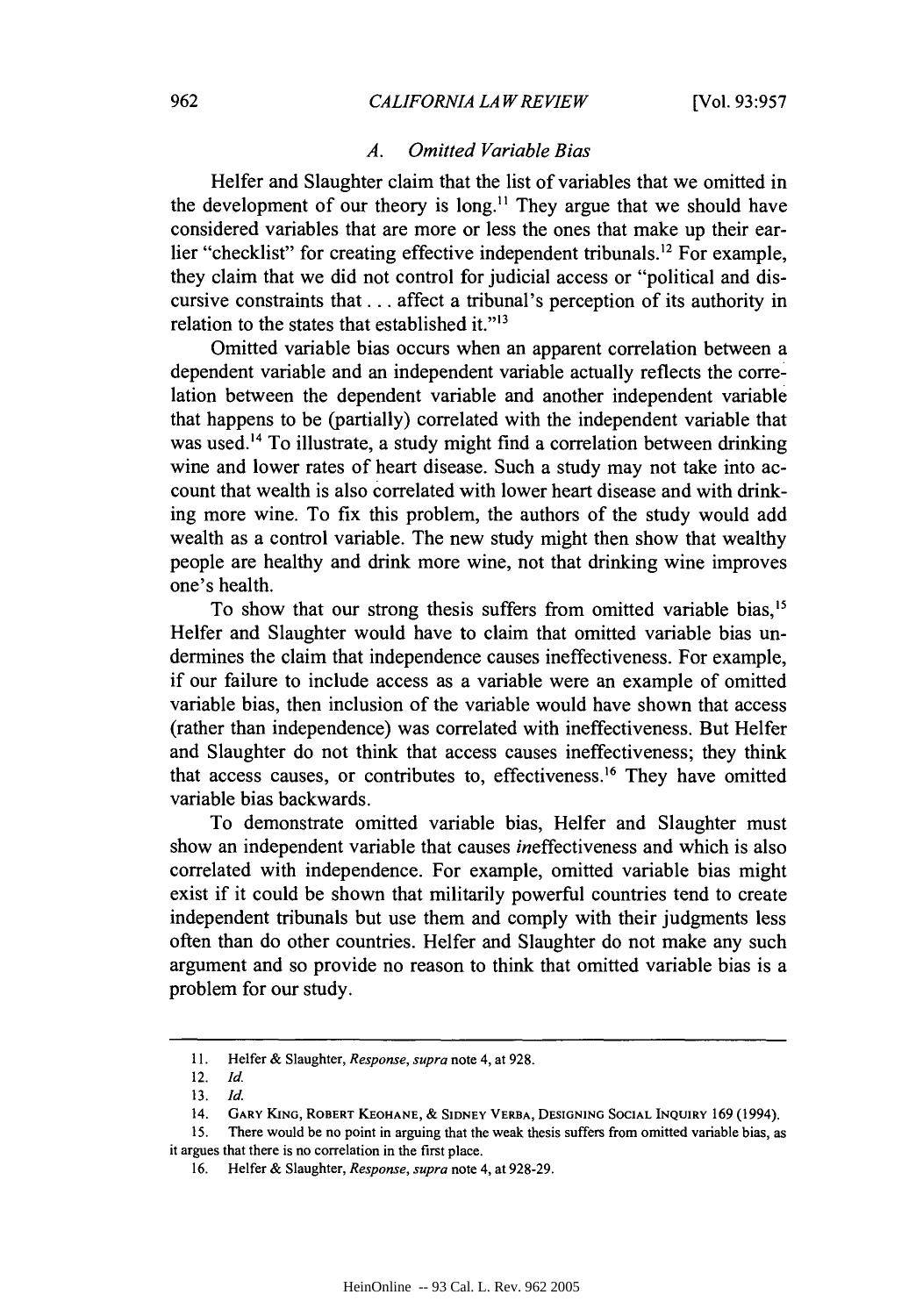#### *A. Omitted Variable Bias*

Heifer and Slaughter claim that the list of variables that we omitted in the development of our theory is long.<sup>11</sup> They argue that we should have considered variables that are more or less the ones that make up their earlier "checklist" for creating effective independent tribunals.<sup>12</sup> For example, they claim that we did not control for judicial access or "political and discursive constraints that. **..** affect a tribunal's perception of its authority in relation to the states that established it." $13$ 

Omitted variable bias occurs when an apparent correlation between a dependent variable and an independent variable actually reflects the correlation between the dependent variable and another independent variable that happens to be (partially) correlated with the independent variable that was used.<sup>14</sup> To illustrate, a study might find a correlation between drinking wine and lower rates of heart disease. Such a study may not take into account that wealth is also correlated with lower heart disease and with drinking more wine. To fix this problem, the authors of the study would add wealth as a control variable. The new study might then show that wealthy people are healthy and drink more wine, not that drinking wine improves one's health.

To show that our strong thesis suffers from omitted variable bias,<sup>15</sup> Helfer and Slaughter would have to claim that omitted variable bias undermines the claim that independence causes ineffectiveness. For example, if our failure to include access as a variable were an example of omitted variable bias, then inclusion of the variable would have shown that access (rather than independence) was correlated with ineffectiveness. But Helfer and Slaughter do not think that access causes ineffectiveness; they think that access causes, or contributes to, effectiveness.<sup>16</sup> They have omitted variable bias backwards.

To demonstrate omitted variable bias, Heifer and Slaughter must show an independent variable that causes ineffectiveness and which is also correlated with independence. For example, omitted variable bias might exist if it could be shown that militarily powerful countries tend to create independent tribunals but use them and comply with their judgments less often than do other countries. Helfer and Slaughter do not make any such argument and so provide no reason to think that omitted variable bias is a problem for our study.

15. There would be no point in arguing that the weak thesis suffers from omitted variable bias, as it argues that there is no correlation in the first place.

<sup>11.</sup> Heifer & Slaughter, *Response, supra* note 4, at 928.

<sup>12.</sup> *Id.*

<sup>13.</sup> *Id.*

<sup>14.</sup> GARY **KING,** ROBERT **KEOHANE,** & SIDNEY **VERBA, DESIGNING SOCIAL INQUIRY** 169 (1994).

**<sup>16.</sup>** Heifer & Slaughter, *Response, supra* note 4, at 928-29.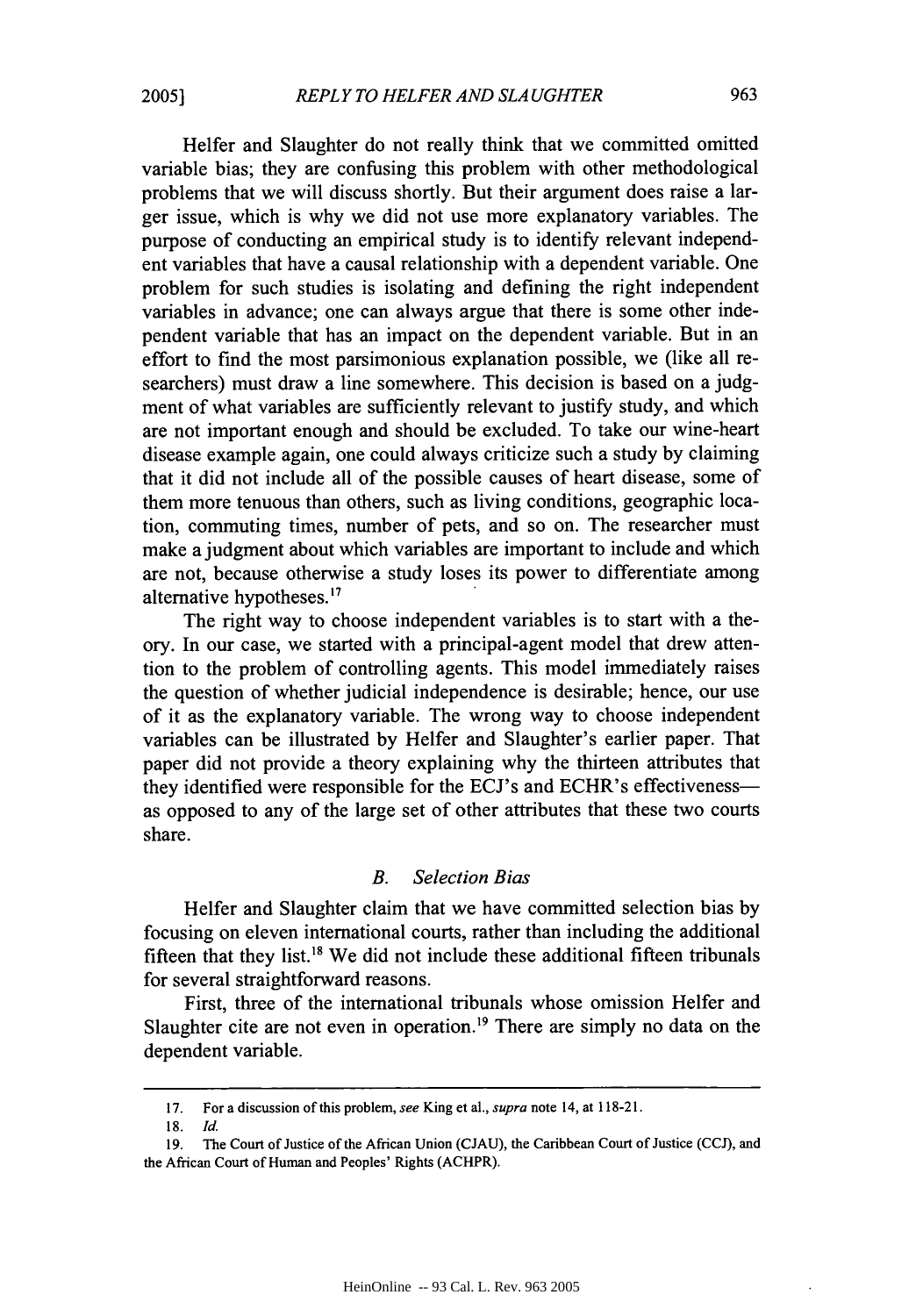Heifer and Slaughter do not really think that we committed omitted variable bias; they are confusing this problem with other methodological problems that we will discuss shortly. But their argument does raise a larger issue, which is why we did not use more explanatory variables. The purpose of conducting an empirical study is to identify relevant independent variables that have a causal relationship with a dependent variable. One problem for such studies is isolating and defining the right independent variables in advance; one can always argue that there is some other independent variable that has an impact on the dependent variable. But in an effort to find the most parsimonious explanation possible, we (like all researchers) must draw a line somewhere. This decision is based on a judgment of what variables are sufficiently relevant to justify study, and which are not important enough and should be excluded. To take our wine-heart disease example again, one could always criticize such a study by claiming that it did not include all of the possible causes of heart disease, some of them more tenuous than others, such as living conditions, geographic location, commuting times, number of pets, and so on. The researcher must make a judgment about which variables are important to include and which are not, because otherwise a study loses its power to differentiate among alternative hypotheses.<sup>17</sup>

The right way to choose independent variables is to start with a theory. In our case, we started with a principal-agent model that drew attention to the problem of controlling agents. This model immediately raises the question of whether judicial independence is desirable; hence, our use of it as the explanatory variable. The wrong way to choose independent variables can be illustrated by Heifer and Slaughter's earlier paper. That paper did not provide a theory explaining why the thirteen attributes that they identified were responsible for the ECJ's and ECHR's effectivenessas opposed to any of the large set of other attributes that these two courts share.

#### *B. Selection Bias*

Heifer and Slaughter claim that we have committed selection bias by focusing on eleven international courts, rather than including the additional fifteen that they list.<sup>18</sup> We did not include these additional fifteen tribunals for several straightforward reasons.

First, three of the international tribunals whose omission Helfer and Slaughter cite are not even in operation.<sup>19</sup> There are simply no data on the dependent variable.

<sup>17.</sup> For a discussion of this problem, *see* King et al., *supra* note 14, at 118-21.

<sup>18.</sup> *Id.*

<sup>19.</sup> The Court of Justice of the African Union (CJAU), the Caribbean Court of Justice (CCJ), and the African Court of Human and Peoples' Rights (ACHPR).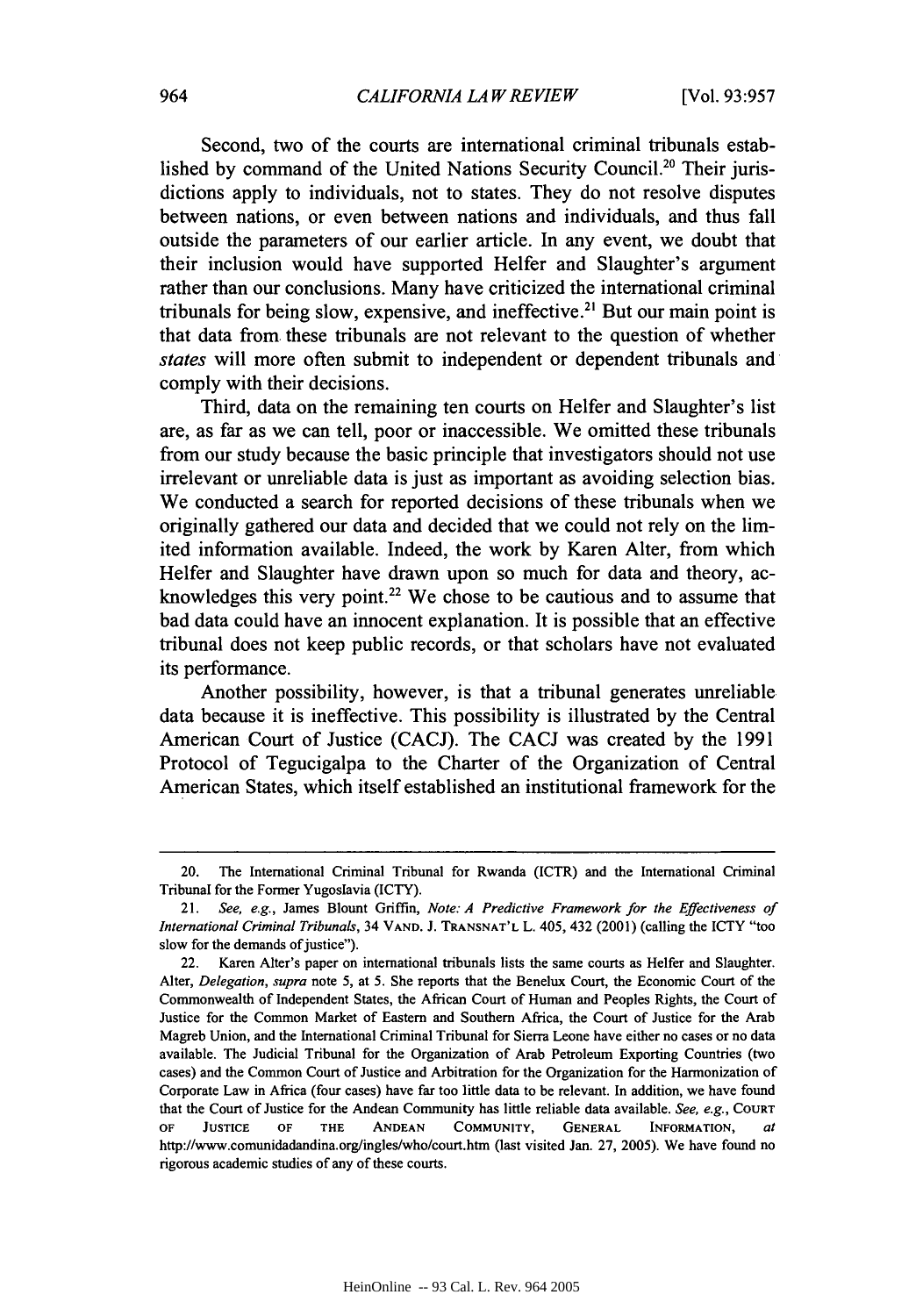Second, two of the courts are international criminal tribunals established by command of the United Nations Security Council.<sup>20</sup> Their jurisdictions apply to individuals, not to states. They do not resolve disputes between nations, or even between nations and individuals, and thus fall outside the parameters of our earlier article. In any event, we doubt that their inclusion would have supported Helfer and Slaughter's argument rather than our conclusions. Many have criticized the international criminal tribunals for being slow, expensive, and ineffective.<sup>21</sup> But our main point is that data from these tribunals are not relevant to the question of whether states will more often submit to independent or dependent tribunals and comply with their decisions.

Third, data on the remaining ten courts on Helfer and Slaughter's list are, as far as we can tell, poor or inaccessible. We omitted these tribunals from our study because the basic principle that investigators should not use irrelevant or unreliable data is just as important as avoiding selection bias. We conducted a search for reported decisions of these tribunals when we originally gathered our data and decided that we could not rely on the limited information available. Indeed, the work **by** Karen Alter, from which Helfer and Slaughter have drawn upon so much for data and theory, acknowledges this very point.<sup>22</sup> We chose to be cautious and to assume that bad data could have an innocent explanation. It is possible that an effective tribunal does not keep public records, or that scholars have not evaluated its performance.

Another possibility, however, is that a tribunal generates unreliable data because it is ineffective. This possibility is illustrated by the Central American Court of Justice (CACJ). The CACJ was created by the 1991 Protocol of Tegucigalpa to the Charter of the Organization of Central American States, which itself established an institutional framework for the

<sup>20.</sup> The International Criminal Tribunal for Rwanda (ICTR) and the International Criminal Tribunal for the Former Yugoslavia (ICTY).

<sup>21.</sup> *See, e.g.,* James Blount Griffin, *Note: A Predictive Framework for the Effectiveness of International Criminal Tribunals,* 34 **VAND.** J. **TRANSNAT'L** L. 405, 432 (2001) (calling the ICTY "too slow for the demands of justice").

<sup>22.</sup> Karen Alter's paper on international tribunals lists the same courts as Helfer and Slaughter. Alter, *Delegation, supra* note 5, at 5. She reports that the Benelux Court, the Economic Court of the Commonwealth of Independent States, the African Court of Human and Peoples Rights, the Court of Justice for the Common Market of Eastern and Southern Africa, the Court of Justice for the Arab Magreb Union, and the International Criminal Tribunal for Sierra Leone have either no cases or no data available. The Judicial Tribunal for the Organization of Arab Petroleum Exporting Countries (two cases) and the Common Court of Justice and Arbitration for the Organization for the Harmonization of Corporate Law in Africa (four cases) have far too little data to be relevant. In addition, we have found that the Court of Justice for the Andean Community has little reliable data available. *See, e.g.,* **COURT** OF **JUSTICE** OF **THE ANDEAN COMMUNITY, GENERAL** INFORMATION, *at* http://www.comunidadandina.org/ingles/who/court.htm (last visited Jan. 27, 2005). We have found no rigorous academic studies of any of these courts.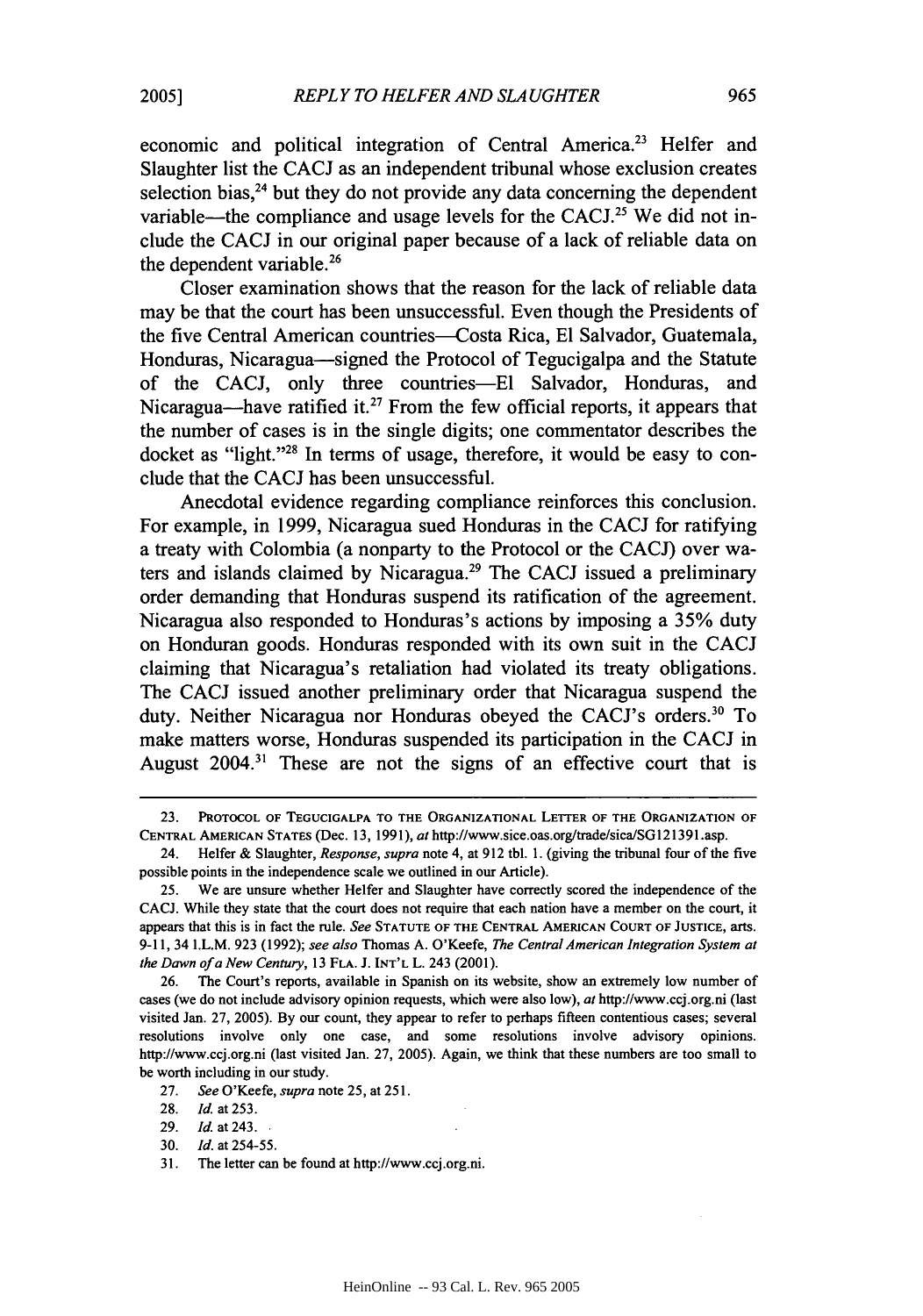economic and political integration of Central America.<sup>23</sup> Helfer and Slaughter list the CACJ as an independent tribunal whose exclusion creates selection bias, $24$  but they do not provide any data concerning the dependent variable—the compliance and usage levels for the CACJ.<sup>25</sup> We did not include the CACJ in our original paper because of a lack of reliable data on the dependent variable.<sup>26</sup>

Closer examination shows that the reason for the lack of reliable data may be that the court has been unsuccessful. Even though the Presidents of the five Central American countries--Costa Rica, El Salvador, Guatemala, Honduras, Nicaragua-signed the Protocol of Tegucigalpa and the Statute of the CACJ, only three countries-El Salvador, Honduras, and Nicaragua-have ratified it.<sup>27</sup> From the few official reports, it appears that the number of cases is in the single digits; one commentator describes the docket as "light."<sup>28</sup> In terms of usage, therefore, it would be easy to conclude that the CACJ has been unsuccessful.

Anecdotal evidence regarding compliance reinforces this conclusion. For example, in 1999, Nicaragua sued Honduras in the CACJ for ratifying a treaty with Colombia (a nonparty to the Protocol or the CACJ) over waters and islands claimed by Nicaragua.29 The CACJ issued a preliminary order demanding that Honduras suspend its ratification of the agreement. Nicaragua also responded to Honduras's actions by imposing a **35%** duty on Honduran goods. Honduras responded with its own suit in the CACJ claiming that Nicaragua's retaliation had violated its treaty obligations. The CACJ issued another preliminary order that Nicaragua suspend the duty. Neither Nicaragua nor Honduras obeyed the CACJ's orders.<sup>30</sup> To make matters worse, Honduras suspended its participation in the CACJ in August 2004.31 These are not the signs of an effective court that is

<sup>23.</sup> PROTOCOL OF **TEGUCIGALPA** TO **THE ORGANIZATIONAL** LETTER OF **THE** ORGANIZATION OF **CENTRAL AMERICAN STATES** (Dec. 13, 1991), *at* http://www.sice.oas.org/trade/sica/SG12139 L.asp.

<sup>24.</sup> Helfer & Slaughter, *Response, supra* note *4, at* 912 tbl. **1.** (giving the tribunal four of the five possible points in the independence scale we outlined in our Article).

<sup>25.</sup> We are unsure whether Heifer and Slaughter have correctly scored the independence of the CACJ. While they state that the court does not require that each nation have a member on the court, it appears that this is in fact the rule. *See* **STATUTE** OF **THE CENTRAL** AMERICAN **COURT** OF **JUSTICE,** arts. 9-11, 34 I.L.M. **923** (1992); *see also* Thomas A. O'Keefe, *The Central American Integration System at the Dawn ofaNew Century,* <sup>13</sup>**FLA. J. INT'L** L. 243 (2001).

<sup>26.</sup> The Court's reports, available in Spanish on its website, show an extremely low number of cases (we do not include advisory opinion requests, which were also low), *at* http://www.ccj.org.ni (last visited Jan. 27, 2005). By our count, they appear to refer to perhaps fifteen contentious cases; several resolutions involve only one case, and some resolutions involve advisory opinions. http://www.ccj.org.ni (last visited Jan. 27, 2005). Again, we think that these numbers are too small to be worth including in our study.

<sup>27.</sup> *See* O'Keefe, *supra* note 25, at 251.

<sup>28.</sup> Id. at 253.

<sup>29.</sup> **Id.** at 243.

<sup>30.</sup> *Id.* at 254-55.

<sup>31.</sup> The letter can be found at http://www.ccj.org.ni.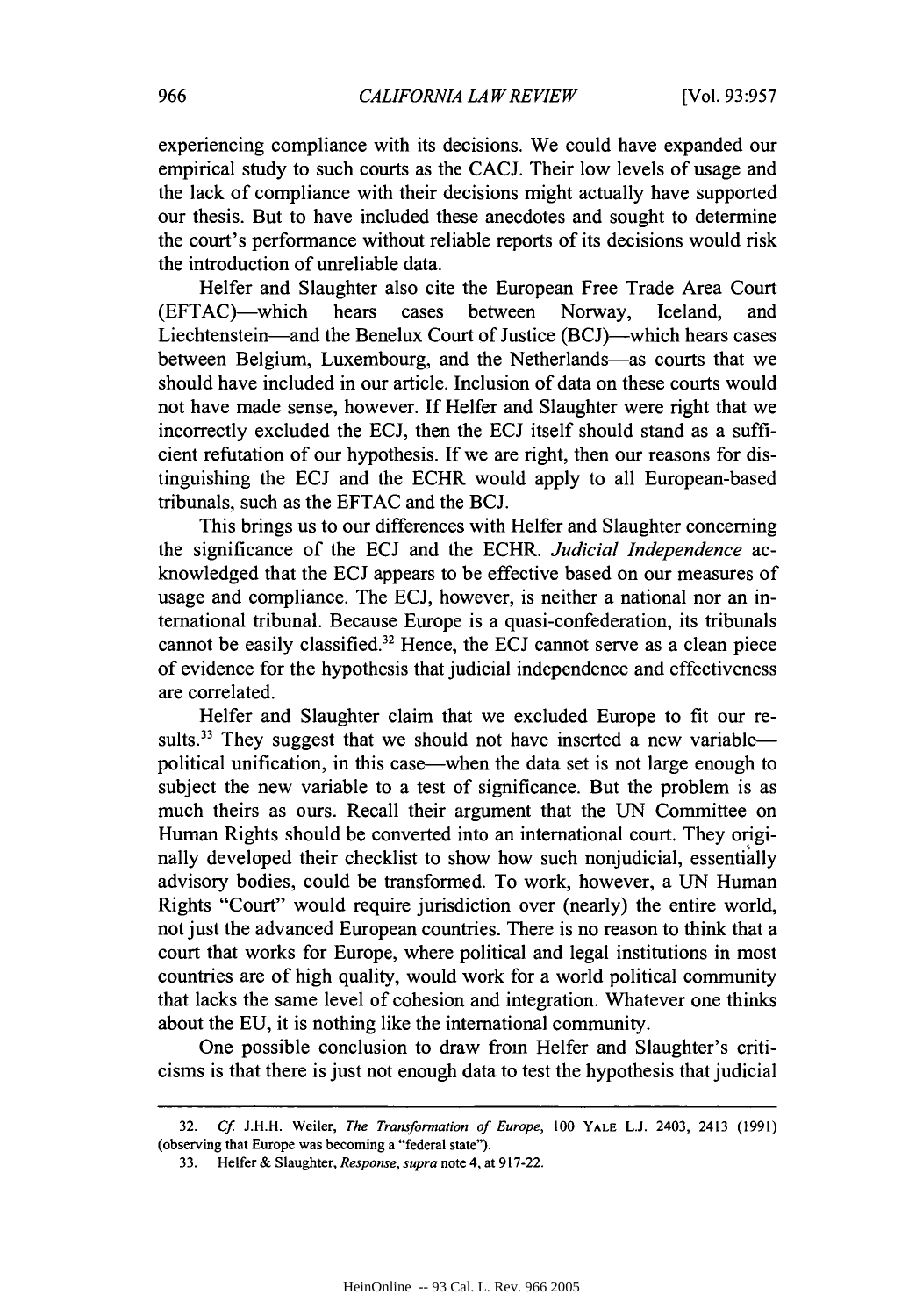experiencing compliance with its decisions. We could have expanded our empirical study to such courts as the CACJ. Their low levels of usage and the lack of compliance with their decisions might actually have supported our thesis. But to have included these anecdotes and sought to determine the court's performance without reliable reports of its decisions would risk the introduction of unreliable data.

Helfer and Slaughter also cite the European Free Trade Area Court (EFTAC)-which hears cases between Norway, Iceland, and Liechtenstein-and the Benelux Court of Justice (BCJ)-which hears cases between Belgium, Luxembourg, and the Netherlands-as courts that we should have included in our article. Inclusion of data on these courts would not have made sense, however. If Helfer and Slaughter were right that we incorrectly excluded the ECJ, then the ECJ itself should stand as a sufficient refutation of our hypothesis. If we are right, then our reasons for distinguishing the ECJ and the ECHR would apply to all European-based tribunals, such as the EFTAC and the BCJ.

This brings us to our differences with Helfer and Slaughter concerning the significance of the ECJ and the ECHR. *Judicial Independence* acknowledged that the ECJ appears to be effective based on our measures of usage and compliance. The ECJ, however, is neither a national nor an international tribunal. Because Europe is a quasi-confederation, its tribunals cannot be easily classified.32 Hence, the ECJ cannot serve as a clean piece of evidence for the hypothesis that judicial independence and effectiveness are correlated.

Helfer and Slaughter claim that we excluded Europe to fit our results.<sup>33</sup> They suggest that we should not have inserted a new variablepolitical unification, in this case—when the data set is not large enough to subject the new variable to a test of significance. But the problem is as much theirs as ours. Recall their argument that the UN Committee on Human Rights should be converted into an international court. They originally developed their checklist to show how such nonjudicial, essentially advisory bodies, could be transformed. To work, however, a UN Human Rights "Court" would require jurisdiction over (nearly) the entire world, not just the advanced European countries. There is no reason to think that a court that works for Europe, where political and legal institutions in most countries are of high quality, would work for a world political community that lacks the same level of cohesion and integration. Whatever one thinks about the EU, it is nothing like the international community.

One possible conclusion to draw from Helfer and Slaughter's criticisms is that there is just not enough data to test the hypothesis that judicial

<sup>32.</sup> *Cf.* J.H.H. Weiler, *The Transformation of Europe,* 100 YALE **L.J.** 2403, 2413 (1991) (observing that Europe was becoming a "federal state").

<sup>33.</sup> Helfer & Slaughter, *Response, supra* note 4, at 917-22.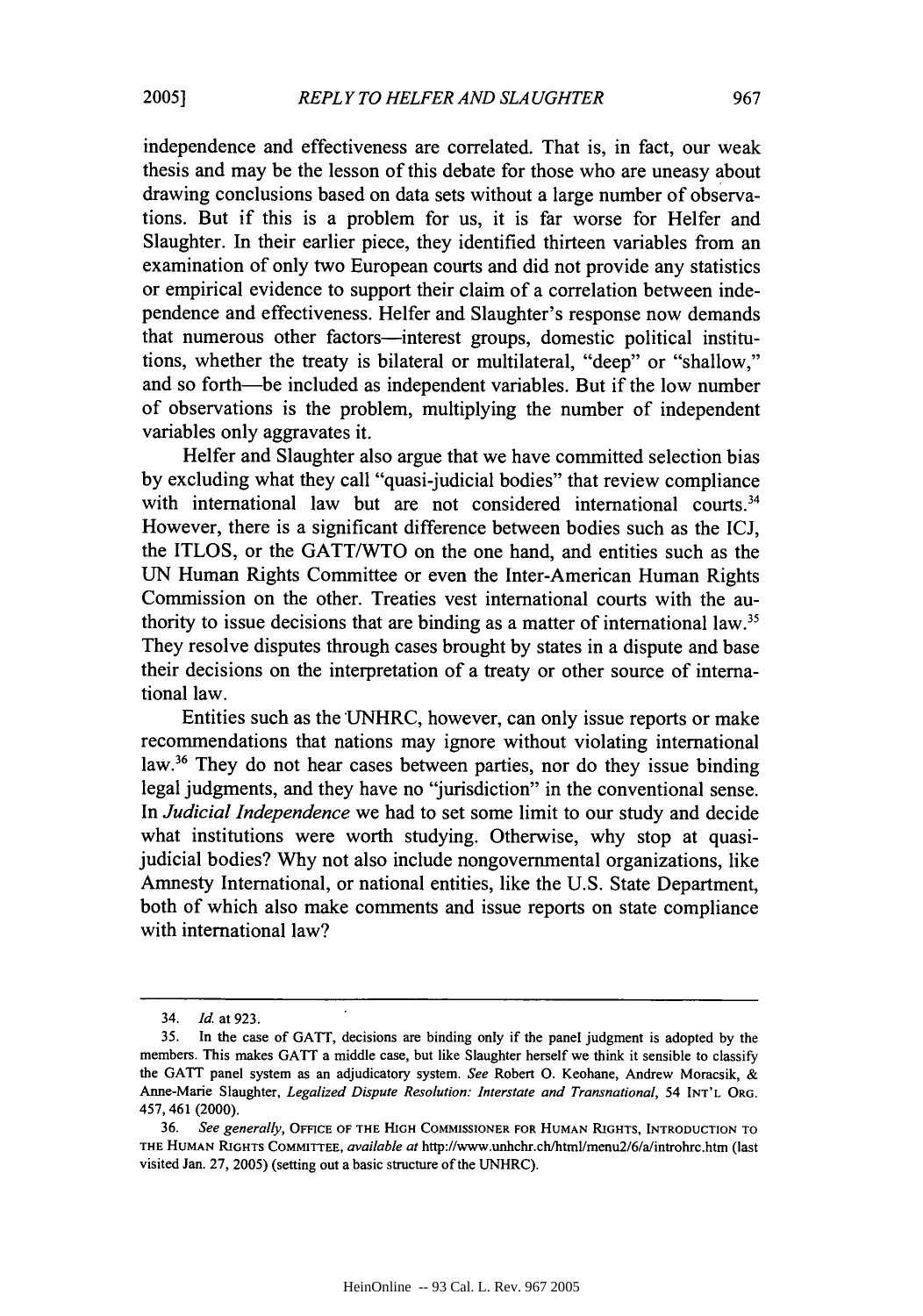independence and effectiveness are correlated. That is, in fact, our weak thesis and may be the lesson of this debate for those who are uneasy about drawing conclusions based on data sets without a large number of observations. But if this is a problem for us, it is far worse for Helfer and Slaughter. In their earlier piece, they identified thirteen variables from an examination of only two European courts and did not provide any statistics or empirical evidence to support their claim of a correlation between independence and effectiveness. Heifer and Slaughter's response now demands that numerous other factors-interest groups, domestic political institutions, whether the treaty is bilateral or multilateral, "deep" or "shallow," and so forth-be included as independent variables. But if the low number of observations is the problem, multiplying the number of independent variables only aggravates it.

Helfer and Slaughter also argue that we have committed selection bias by excluding what they call "quasi-judicial bodies" that review compliance with international law but are not considered international courts.<sup>34</sup> However, there is a significant difference between bodies such as the ICJ, the ITLOS, or the GATT/WTO on the one hand, and entities such as the UN Human Rights Committee or even the Inter-American Human Rights Commission on the other. Treaties vest international courts with the authority to issue decisions that are binding as a matter of international law.35 They resolve disputes through cases brought by states in a dispute and base their decisions on the interpretation of a treaty or other source of international law.

Entities such as the UNHRC, however, can only issue reports or make recommendations that nations may ignore without violating international law.<sup>36</sup> They do not hear cases between parties, nor do they issue binding legal judgments, and they have no "jurisdiction" in the conventional sense. In *Judicial Independence* we had to set some limit to our study and decide what institutions were worth studying. Otherwise, why stop at quasijudicial bodies? Why not also include nongovernmental organizations, like Amnesty International, or national entities, like the U.S. State Department, both of which also make comments and issue reports on state compliance with international law?

<sup>34.</sup> Id. at 923.

<sup>35.</sup> In the case of GATT, decisions are binding only if the panel judgment is adopted by the members. This makes GATT a middle case, but like Slaughter herself we think it sensible to classify the GATT panel system as an adjudicatory system. *See* Robert **0.** Keohane, Andrew Moracsik, & Anne-Marie Slaughter, *Legalized Dispute Resolution: Interstate and Transnational,* 54 INT'L ORG. 457, 461 (2000).

**<sup>36.</sup>** *See generally,* OFFICE OF THE HIGH **COMMISSIONER FOR HUMAN** RIGHTS, **INTRODUCTION** TO THE **HUMAN** RIGHTS COMMITTEE, *available at* http://www.unhchr.ch/html/menu2/6/a/introhrc.htm (last visited Jan. 27, 2005) (setting out a basic structure of the UNHRC).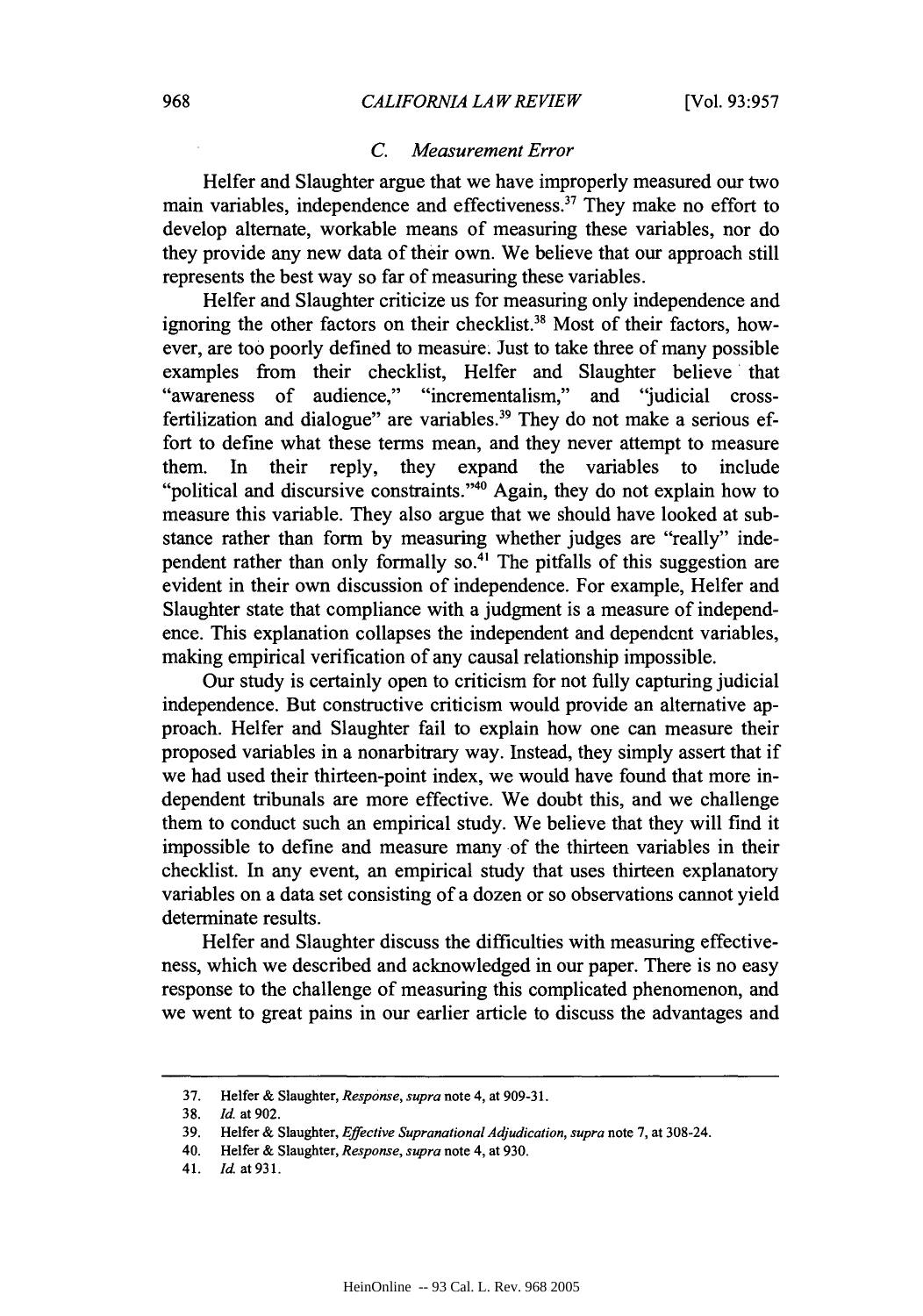#### *C. Measurement Error*

Heifer and Slaughter argue that we have improperly measured our two main variables, independence and effectiveness.<sup>37</sup> They make no effort to develop alternate, workable means of measuring these variables, nor do they provide any new data of their own. We believe that our approach still represents the best way so far of measuring these variables.

Helfer and Slaughter criticize us for measuring only independence and ignoring the other factors on their checklist.<sup>38</sup> Most of their factors, however, are too poorly defined to measire. Just to take three of many possible examples from their checklist, Helfer and Slaughter believe that "awareness of audience," "incrementalism," and "judicial crossfertilization and dialogue" are variables.<sup>39</sup> They do not make a serious effort to define what these terms mean, and they never attempt to measure them. In their reply, they expand the variables to include "political and discursive constraints." $40$  Again, they do not explain how to measure this variable. They also argue that we should have looked at substance rather than form by measuring whether judges are "really" independent rather than only formally so.<sup>41</sup> The pitfalls of this suggestion are evident in their own discussion of independence. For example, Helfer and Slaughter state that compliance with a judgment is a measure of independence. This explanation collapses the independent and dependent variables, making empirical verification of any causal relationship impossible.

Our study is certainly open to criticism for not fully capturing judicial independence. But constructive criticism would provide an alternative approach. Helfer and Slaughter fail to explain how one can measure their proposed variables in a nonarbitrary way. Instead, they simply assert that if we had used their thirteen-point index, we would have found that more independent tribunals are more effective. We doubt this, and we challenge them to conduct such an empirical study. We believe that they will find it impossible to define and measure many of the thirteen variables in their checklist. In any event, an empirical study that uses thirteen explanatory variables on a data set consisting of a dozen or so observations cannot yield determinate results.

Heifer and Slaughter discuss the difficulties with measuring effectiveness, which we described and acknowledged in our paper. There is no easy response to the challenge of measuring this complicated phenomenon, and we went to great pains in our earlier article to discuss the advantages and

<sup>37.</sup> Heifer & Slaughter, *Response, supra* note 4, at 909-3 1.

<sup>38.</sup> Id. at **902.**

<sup>39.</sup> Heifer & Slaughter, *Effective Supranational Adjudication, supra* note 7, at 308-24.

<sup>40.</sup> Heifer & Slaughter, *Response, supra* note 4, at 930.

<sup>41.</sup> Id. at **931.**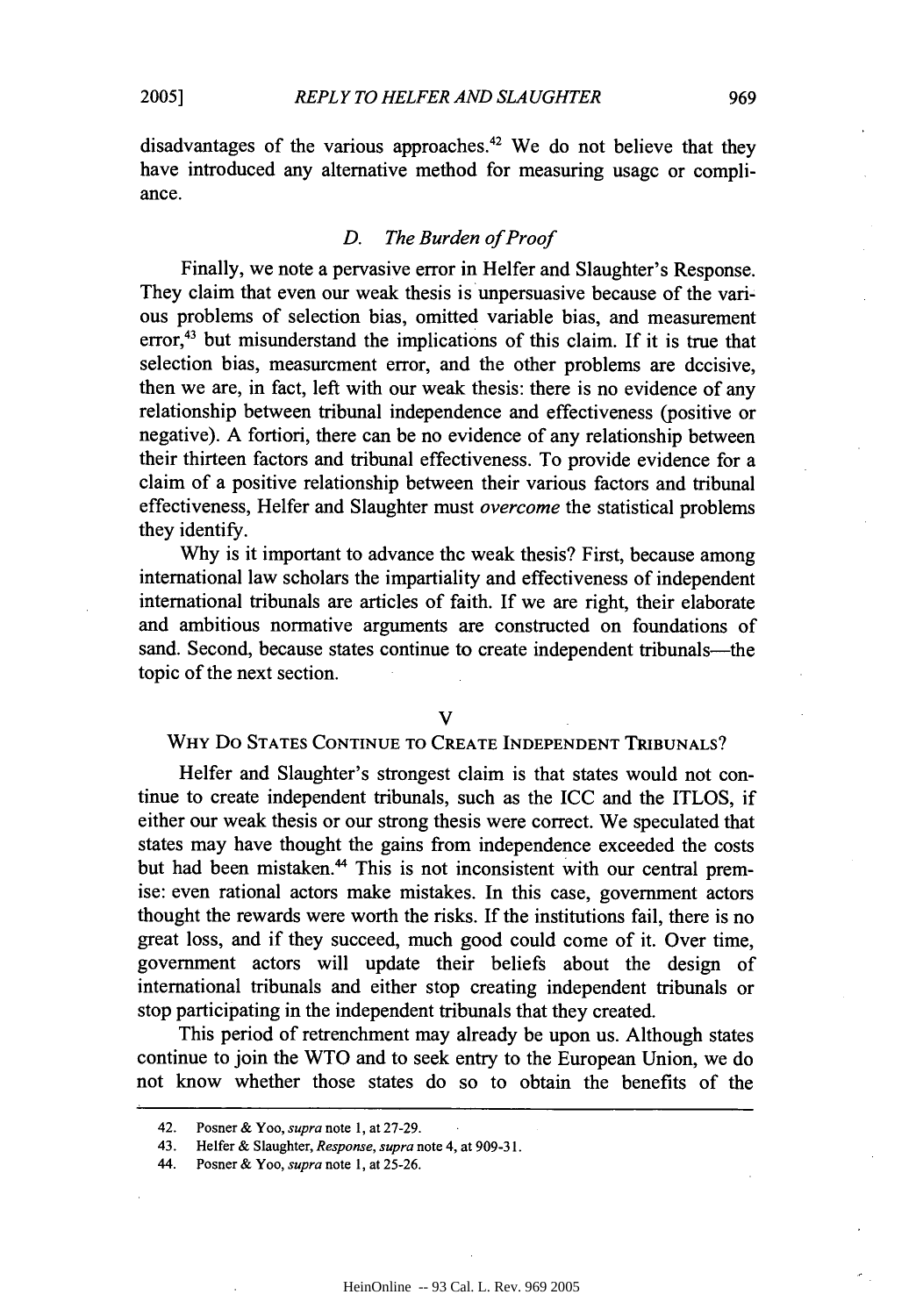disadvantages of the various approaches.<sup>42</sup> We do not believe that they have introduced any alternative method for measuring usage or compliance.

#### *D. The Burden of Proof*

Finally, we note a pervasive error in Heifer and Slaughter's Response. They claim that even our weak thesis is unpersuasive because of the various problems of selection bias, omitted variable bias, and measurement error,<sup>43</sup> but misunderstand the implications of this claim. If it is true that selection bias, measurement error, and the other problems are decisive, then we are, in fact, left with our weak thesis: there is no evidence of any relationship between tribunal independence and effectiveness (positive or negative). A fortiori, there can be no evidence of any relationship between their thirteen factors and tribunal effectiveness. To provide evidence for a claim of a positive relationship between their various factors and tribunal effectiveness, Helfer and Slaughter must *overcome* the statistical problems they identify.

Why is it important to advance the weak thesis? First, because among international law scholars the impartiality and effectiveness of independent international tribunals are articles of faith. If we are right, their elaborate and ambitious normative arguments are constructed on foundations of sand. Second, because states continue to create independent tribunals-the topic of the next section.

V

#### WHY DO STATES CONTINUE TO CREATE INDEPENDENT TRIBUNALS?

Helfer and Slaughter's strongest claim is that states would not continue to create independent tribunals, such as the ICC and the ITLOS, if either our weak thesis or our strong thesis were correct. We speculated that states may have thought the gains from independence exceeded the costs but had been mistaken.<sup>44</sup> This is not inconsistent with our central premise: even rational actors make mistakes. In this case, government actors thought the rewards were worth the risks. If the institutions fail, there is no great loss, and if they succeed, much good could come of it. Over time, government actors will update their beliefs about the design of international tribunals and either stop creating independent tribunals or stop participating in the independent tribunals that they created.

This period of retrenchment may already be upon us. Although states continue to join the WTO and to seek entry to the European Union, we do not know whether those states do so to obtain the benefits of the

969

<sup>42.</sup> Posner & Yoo, *supra* note **1,** at 27-29.

<sup>43.</sup> Heifer & Slaughter, *Response, supra* note 4, at 909-3 1.

<sup>44.</sup> Posner & Yoo, *supra* note 1, at 25-26.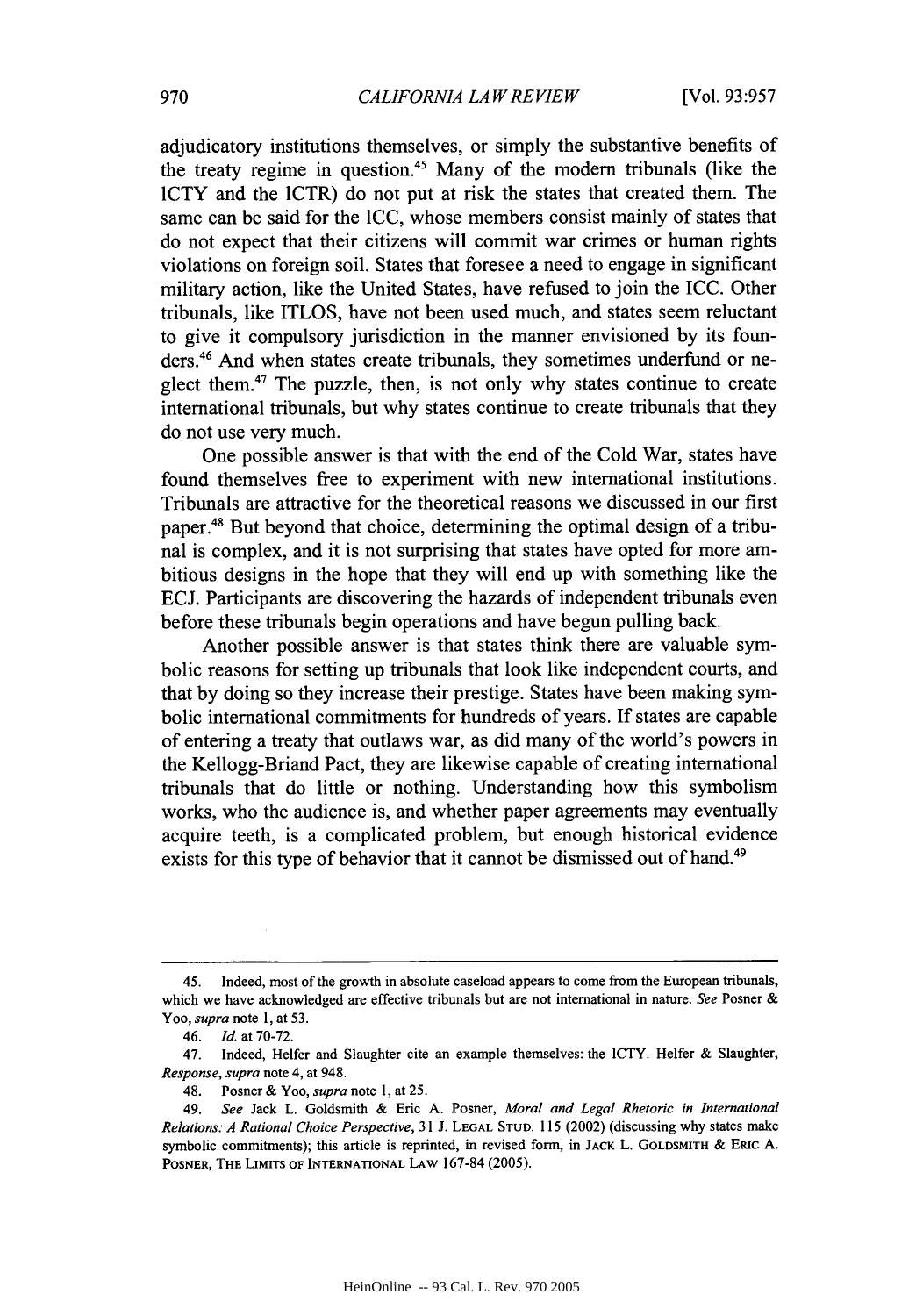adjudicatory institutions themselves, or simply the substantive benefits of the treaty regime in question.45 Many of the modem tribunals (like the ICTY and the ICTR) do not put at risk the states that created them. The same can be said for the **ICC,** whose members consist mainly of states that do not expect that their citizens will commit war crimes or human rights violations on foreign soil. States that foresee a need to engage in significant military action, like the United States, have refused to join the ICC. Other tribunals, like ITLOS, have not been used much, and states seem reluctant to give it compulsory jurisdiction in the manner envisioned **by** its founders.<sup>46</sup> And when states create tribunals, they sometimes underfund or neglect them.<sup>47</sup> The puzzle, then, is not only why states continue to create international tribunals, but why states continue to create tribunals that they do not use very much.

One possible answer is that with the end of the Cold War, states have found themselves free to experiment with new international institutions. Tribunals are attractive for the theoretical reasons we discussed in our first paper.48 But beyond that choice, determining the optimal design of a tribunal is complex, and it is not surprising that states have opted for more ambitious designs in the hope that they will end up with something like the ECJ. Participants are discovering the hazards of independent tribunals even before these tribunals begin operations and have begun pulling back.

Another possible answer is that states think there are valuable symbolic reasons for setting up tribunals that look like independent courts, and that **by** doing so they increase their prestige. States have been making symbolic international commitments for hundreds of years. **If** states are capable of entering a treaty that outlaws war, as did many of the world's powers in the Kellogg-Briand Pact, they are likewise capable of creating international tribunals that do little or nothing. Understanding how this symbolism works, who the audience is, and whether paper agreements may eventually acquire teeth, is a complicated problem, but enough historical evidence exists for this type of behavior that it cannot be dismissed out of hand.<sup>49</sup>

<sup>45.</sup> Indeed, most of the growth in absolute caseload appears to come from the European tribunals, which we have acknowledged are effective tribunals but are not international in nature. *See* Posner & Yoo, *supra* note 1, at **53.**

<sup>46.</sup> *Id.* at 70-72.

<sup>47.</sup> Indeed, Helfer and Slaughter cite an example themselves: the ICTY. Heifer & Slaughter, *Response, supra* note 4, at 948.

<sup>48.</sup> Posner & Yoo, *supra* note 1, at 25.

<sup>49.</sup> *See* Jack L. Goldsmith & Eric A. Posner, *Moral and Legal Rhetoric in International Relations: A Rational Choice Perspective,* **31** J. **LEGAL STUD.** 115 (2002) (discussing why states make symbolic commitments); this article is reprinted, in revised form, in **JACK** L. GOLDSMITH & ERIC A. POSNER, **THE** LIMITS **OF INTERNATIONAL** LAW 167-84 (2005).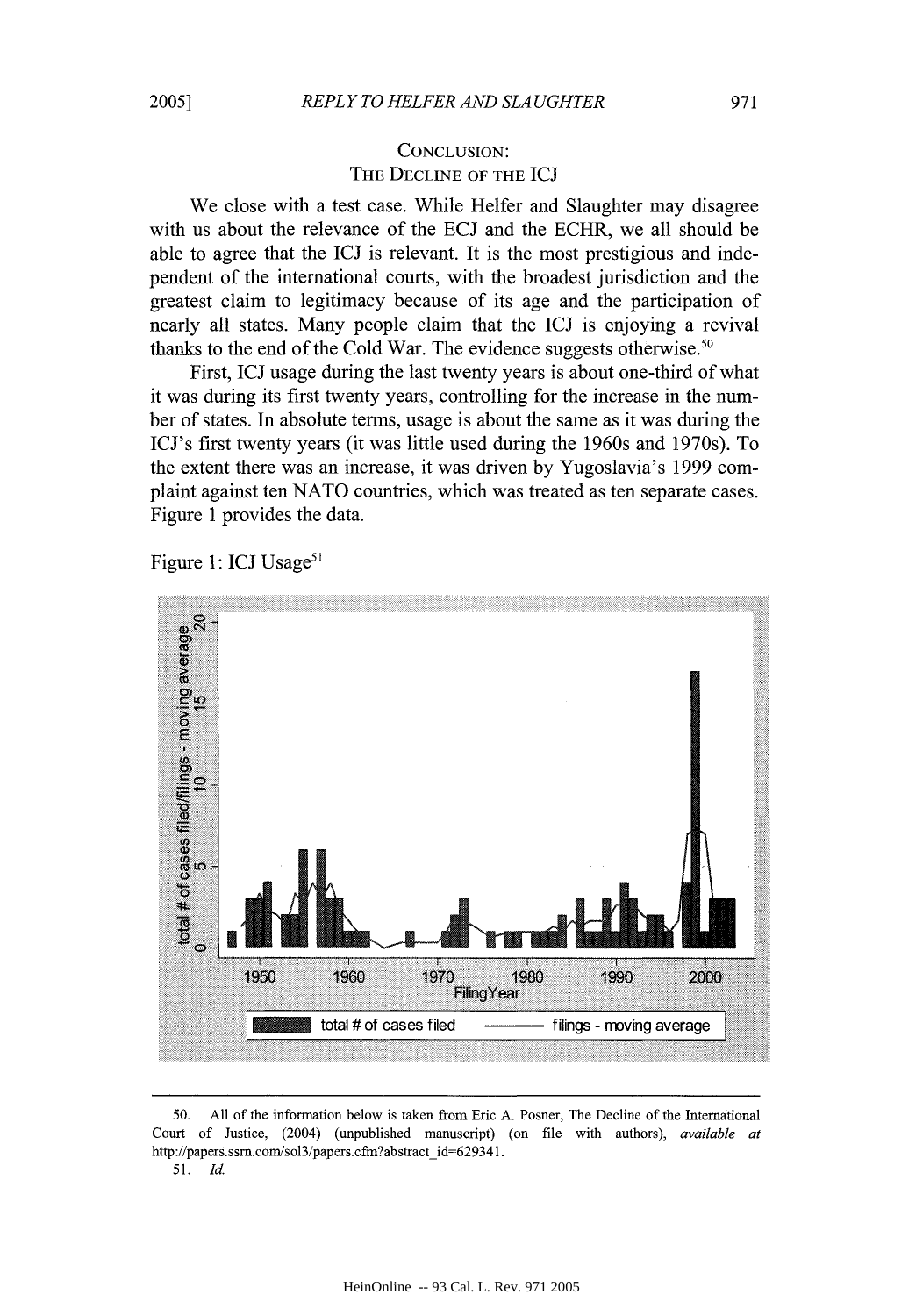### CONCLUSION: THE **DECLINE** OF THE ICJ

We close with a test case. While Helfer and Slaughter may disagree with us about the relevance of the ECJ and the ECHR, we all should be able to agree that the **ICJ** is relevant. It is the most prestigious and independent of the international courts, with the broadest jurisdiction and the greatest claim to legitimacy because of its age and the participation of nearly all states. Many people claim that the ICJ is enjoying a revival thanks to the end of the Cold War. The evidence suggests otherwise. <sup>50</sup>

First, ICJ usage during the last twenty years is about one-third of what it was during its first twenty years, controlling for the increase in the number of states. In absolute terms, usage is about the same as it was during the ICJ's first twenty years (it was little used during the 1960s and 1970s). To the extent there was an increase, it was driven by Yugoslavia's 1999 complaint against ten NATO countries, which was treated as ten separate cases. Figure 1 provides the data.

Figure 1: ICJ Usage<sup>51</sup>



<sup>50.</sup> All of the information below is taken from Eric A. Posner, The Decline of the International Court of Justice, (2004) (unpublished manuscript) (on file with authors), *available at* http://papers.ssrn.com/sol3/papers.cfm?abstract\_id=629341.

<sup>51.</sup> *Id.*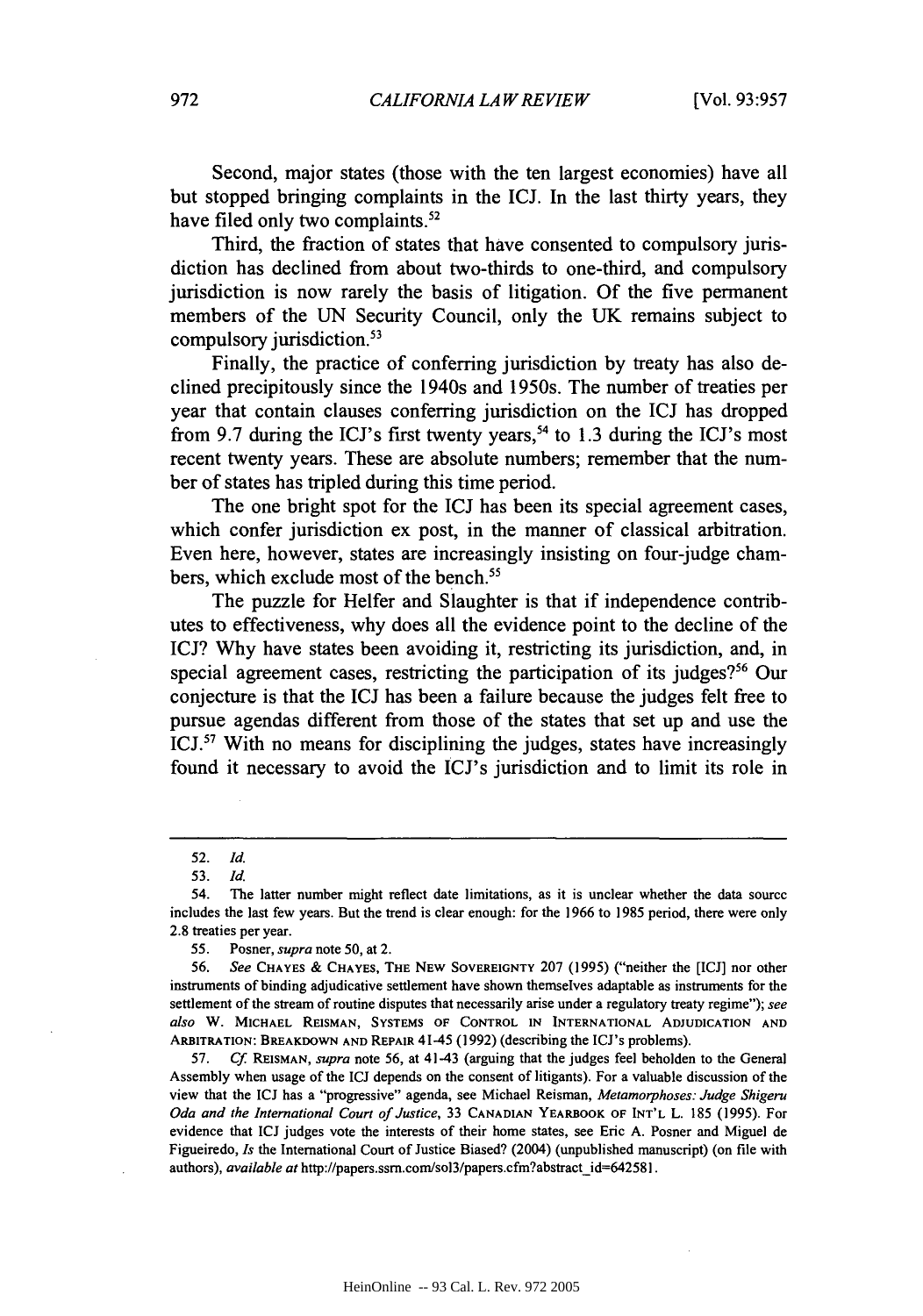Second, major states (those with the ten largest economies) have all but stopped bringing complaints in the ICJ. In the last thirty years, they have filed only two complaints.<sup>52</sup>

Third, the fraction of states that have consented to compulsory jurisdiction has declined from about two-thirds to one-third, and compulsory jurisdiction is now rarely the basis of litigation. Of the five permanent members of the UN Security Council, only the UK remains subject to compulsory jurisdiction.<sup>53</sup>

Finally, the practice of conferring jurisdiction by treaty has also declined precipitously since the 1940s and 1950s. The number of treaties per year that contain clauses conferring jurisdiction on the ICJ has dropped from 9.7 during the ICJ's first twenty years,<sup>54</sup> to 1.3 during the ICJ's most recent twenty years. These are absolute numbers; remember that the number of states has tripled during this time period.

The one bright spot for the ICJ has been its special agreement cases, which confer jurisdiction ex post, in the manner of classical arbitration. Even here, however, states are increasingly insisting on four-judge chambers, which exclude most of the bench.<sup>55</sup>

The puzzle for Helfer and Slaughter is that if independence contributes to effectiveness, why does all the evidence point to the decline of the ICJ? Why have states been avoiding it, restricting its jurisdiction, and, in special agreement cases, restricting the participation of its judges?<sup>56</sup> Our conjecture is that the ICJ has been a failure because the judges felt free to pursue agendas different from those of the states that set up and use the ICJ. $57$  With no means for disciplining the judges, states have increasingly found it necessary to avoid the ICJ's jurisdiction and to limit its role in

<sup>52.</sup> *Id.*

<sup>53.</sup> *Id.*

<sup>54.</sup> The latter number might reflect date limitations, as it is unclear whether the data source includes the last few years. But the trend is clear enough: for the 1966 to 1985 period, there were only 2.8 treaties per year.

<sup>55.</sup> Posner, *supra* note 50, at 2.

<sup>56.</sup> *See* **CHAYES** & **CHAYES,** THE **NEW SOVEREIGNTY** 207 (1995) ("neither the [ICJ] nor other instruments of binding adjudicative settlement have shown themselves adaptable as instruments for the settlement of the stream of routine disputes that necessarily arise under a regulatory treaty regime"); *see also* W. **MICHAEL REISMAN, SYSTEMS** OF CONTROL IN INTERNATIONAL **ADJUDICATION AND** ARBITRATION: BREAKDOWN **AND** REPAIR 41-45 (1992) (describing the ICJ's problems).

<sup>57.</sup> *Cf.* **REISMAN,** *supra* note 56, at 41-43 (arguing that the judges feel beholden to the General Assembly when usage of the ICJ depends on the consent of litigants). For a valuable discussion of the view that the ICJ has a "progressive" agenda, see Michael Reisman, *Metamorphoses: Judge Shigeru Oda and the International Court of Justice,* 33 **CANADIAN** YEARBOOK OF **INT'L** L. 185 (1995). For evidence that ICJ judges vote the interests of their home states, see Eric A. Posner and Miguel de Figueiredo, *Is* the International Court of Justice Biased? (2004) (unpublished manuscript) (on file with authors), *available at* http://papers.ssrn.com/sol3/papers.cfm?abstract\_id=642581.